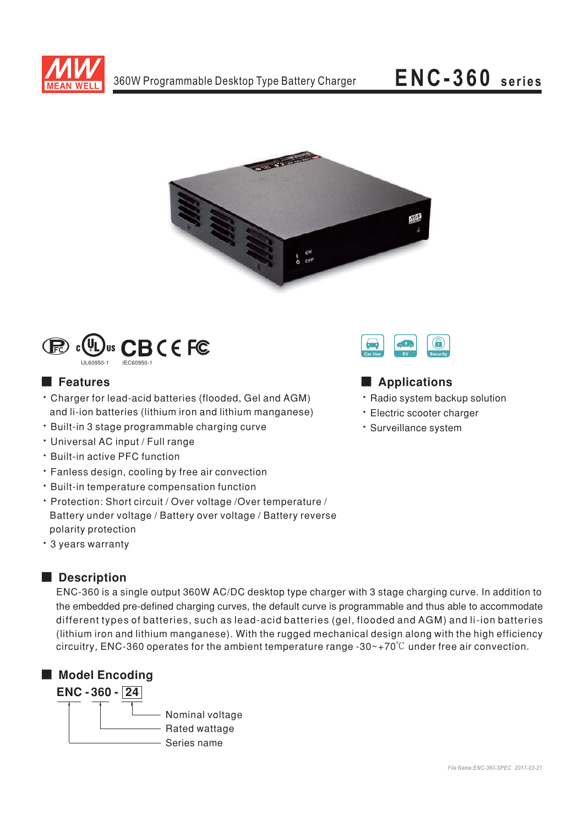

# ENC-360 series





# **E** Features

- Charger for lead-acid batteries (flooded, Gel and AGM) and li-ion batteries (lithium iron and lithium manganese)
- · Built-in 3 stage programmable charging curve
- · Universal AC input / Full range
- \* Built-in active PFC function
- Fanless design, cooling by free air convection
- · Built-in temperature compensation function
- · Protection: Short circuit / Over voltage / Over temperature / Battery under voltage / Battery over voltage / Battery reverse polarity protection
- \* 3 years warranty

# Description

ENC-360 is a single output 360W AC/DC desktop type charger with 3 stage charging curve. In addition to the embedded pre-defined charging curves, the default curve is programmable and thus able to accommodate different types of batteries, such as lead-acid batteries (gel, flooded and AGM) and li-ion batteries (lithium iron and lithium manganese). With the rugged mechanical design along with the high efficiency circuitry, ENC-360 operates for the ambient temperature range -30 $\sim$ +70 $\degree$ C under free air convection.





### Applications

- · Radio system backup solution
- · Electric scooter charger
- · Surveillance system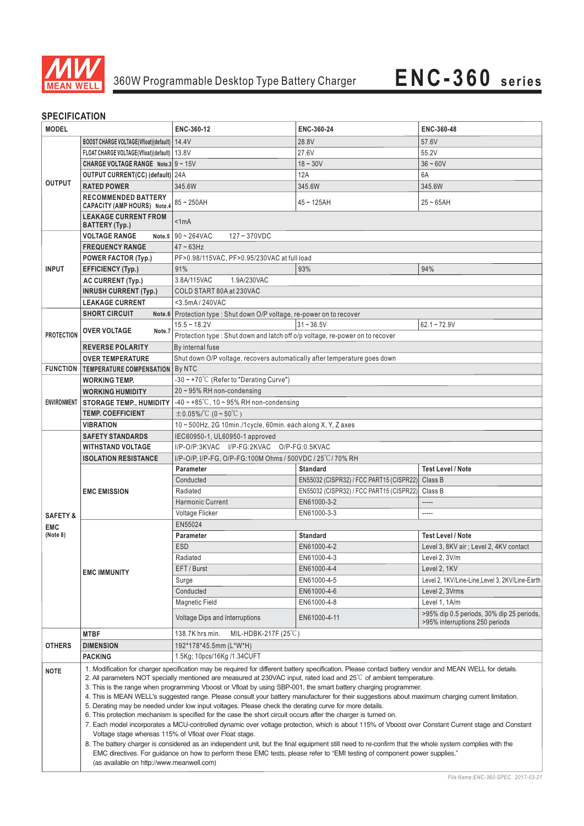

## **SPECIFICATION**

| <b>MODEL</b>           |                                                                                                                                                                                                                                                                                                                                                                                                                                                                                                                                                                                                                                                                                                                                                                                                                                                                                                                                                                                                                                                                                                                                                                                                                                                                                                                                                 | ENC-360-12                                                                                                              | ENC-360-24                                                               | ENC-360-48                                      |  |  |  |
|------------------------|-------------------------------------------------------------------------------------------------------------------------------------------------------------------------------------------------------------------------------------------------------------------------------------------------------------------------------------------------------------------------------------------------------------------------------------------------------------------------------------------------------------------------------------------------------------------------------------------------------------------------------------------------------------------------------------------------------------------------------------------------------------------------------------------------------------------------------------------------------------------------------------------------------------------------------------------------------------------------------------------------------------------------------------------------------------------------------------------------------------------------------------------------------------------------------------------------------------------------------------------------------------------------------------------------------------------------------------------------|-------------------------------------------------------------------------------------------------------------------------|--------------------------------------------------------------------------|-------------------------------------------------|--|--|--|
| <b>OUTPUT</b>          | BOOST CHARGE VOLTAGE(Vfloat)(default)   14.4V                                                                                                                                                                                                                                                                                                                                                                                                                                                                                                                                                                                                                                                                                                                                                                                                                                                                                                                                                                                                                                                                                                                                                                                                                                                                                                   |                                                                                                                         | 28.8V                                                                    | 57.6V                                           |  |  |  |
|                        | FLOAT CHARGE VOLTAGE(Vfloat)(default)   13.8V                                                                                                                                                                                                                                                                                                                                                                                                                                                                                                                                                                                                                                                                                                                                                                                                                                                                                                                                                                                                                                                                                                                                                                                                                                                                                                   |                                                                                                                         | 27.6V                                                                    | 55.2V                                           |  |  |  |
|                        | CHARGE VOLTAGE RANGE Note.3 9 ~ 15V                                                                                                                                                                                                                                                                                                                                                                                                                                                                                                                                                                                                                                                                                                                                                                                                                                                                                                                                                                                                                                                                                                                                                                                                                                                                                                             |                                                                                                                         | $18 - 30V$                                                               | $36 - 60V$                                      |  |  |  |
|                        | OUTPUT CURRENT(CC) (default) 24A                                                                                                                                                                                                                                                                                                                                                                                                                                                                                                                                                                                                                                                                                                                                                                                                                                                                                                                                                                                                                                                                                                                                                                                                                                                                                                                |                                                                                                                         | 12A                                                                      | 6A                                              |  |  |  |
|                        | <b>RATED POWER</b>                                                                                                                                                                                                                                                                                                                                                                                                                                                                                                                                                                                                                                                                                                                                                                                                                                                                                                                                                                                                                                                                                                                                                                                                                                                                                                                              | 345.6W                                                                                                                  | 345.6W                                                                   | 345.6W                                          |  |  |  |
|                        | <b>RECOMMENDED BATTERY</b><br><b>CAPACITY (AMP HOURS) Note.4</b>                                                                                                                                                                                                                                                                                                                                                                                                                                                                                                                                                                                                                                                                                                                                                                                                                                                                                                                                                                                                                                                                                                                                                                                                                                                                                | $85 - 250$ AH                                                                                                           | $45 - 125AH$                                                             | $25 - 65$ AH                                    |  |  |  |
|                        | <b>LEAKAGE CURRENT FROM</b><br>BATTERY (Typ.)                                                                                                                                                                                                                                                                                                                                                                                                                                                                                                                                                                                                                                                                                                                                                                                                                                                                                                                                                                                                                                                                                                                                                                                                                                                                                                   | < 1mA                                                                                                                   |                                                                          |                                                 |  |  |  |
|                        | <b>VOLTAGE RANGE</b>                                                                                                                                                                                                                                                                                                                                                                                                                                                                                                                                                                                                                                                                                                                                                                                                                                                                                                                                                                                                                                                                                                                                                                                                                                                                                                                            | Note.5 $90 - 264$ VAC<br>$127 - 370$ VDC                                                                                |                                                                          |                                                 |  |  |  |
|                        | <b>FREQUENCY RANGE</b>                                                                                                                                                                                                                                                                                                                                                                                                                                                                                                                                                                                                                                                                                                                                                                                                                                                                                                                                                                                                                                                                                                                                                                                                                                                                                                                          | $47 - 63$ Hz                                                                                                            |                                                                          |                                                 |  |  |  |
|                        | <b>POWER FACTOR (Typ.)</b>                                                                                                                                                                                                                                                                                                                                                                                                                                                                                                                                                                                                                                                                                                                                                                                                                                                                                                                                                                                                                                                                                                                                                                                                                                                                                                                      | PF>0.98/115VAC, PF>0.95/230VAC at full load                                                                             |                                                                          |                                                 |  |  |  |
| <b>INPUT</b>           | <b>EFFICIENCY (Typ.)</b>                                                                                                                                                                                                                                                                                                                                                                                                                                                                                                                                                                                                                                                                                                                                                                                                                                                                                                                                                                                                                                                                                                                                                                                                                                                                                                                        | 93%<br>94%<br>91%                                                                                                       |                                                                          |                                                 |  |  |  |
|                        | AC CURRENT (Typ.)                                                                                                                                                                                                                                                                                                                                                                                                                                                                                                                                                                                                                                                                                                                                                                                                                                                                                                                                                                                                                                                                                                                                                                                                                                                                                                                               | 3.8A/115VAC<br>1.9A/230VAC                                                                                              |                                                                          |                                                 |  |  |  |
|                        | <b>INRUSH CURRENT (Typ.)</b>                                                                                                                                                                                                                                                                                                                                                                                                                                                                                                                                                                                                                                                                                                                                                                                                                                                                                                                                                                                                                                                                                                                                                                                                                                                                                                                    | COLD START 80A at 230VAC                                                                                                |                                                                          |                                                 |  |  |  |
|                        | <b>LEAKAGE CURRENT</b>                                                                                                                                                                                                                                                                                                                                                                                                                                                                                                                                                                                                                                                                                                                                                                                                                                                                                                                                                                                                                                                                                                                                                                                                                                                                                                                          | <3.5mA/240VAC                                                                                                           |                                                                          |                                                 |  |  |  |
|                        | <b>SHORT CIRCUIT</b>                                                                                                                                                                                                                                                                                                                                                                                                                                                                                                                                                                                                                                                                                                                                                                                                                                                                                                                                                                                                                                                                                                                                                                                                                                                                                                                            |                                                                                                                         | Note.6   Protection type : Shut down O/P voltage, re-power on to recover |                                                 |  |  |  |
|                        |                                                                                                                                                                                                                                                                                                                                                                                                                                                                                                                                                                                                                                                                                                                                                                                                                                                                                                                                                                                                                                                                                                                                                                                                                                                                                                                                                 | $15.5 - 18.2V$                                                                                                          | $31 - 36.5V$                                                             | $62.1 - 72.9V$                                  |  |  |  |
| <b>PROTECTION</b>      | <b>OVER VOLTAGE</b><br>Note.7                                                                                                                                                                                                                                                                                                                                                                                                                                                                                                                                                                                                                                                                                                                                                                                                                                                                                                                                                                                                                                                                                                                                                                                                                                                                                                                   | Protection type: Shut down and latch off o/p voltage, re-power on to recover                                            |                                                                          |                                                 |  |  |  |
|                        | <b>REVERSE POLARITY</b>                                                                                                                                                                                                                                                                                                                                                                                                                                                                                                                                                                                                                                                                                                                                                                                                                                                                                                                                                                                                                                                                                                                                                                                                                                                                                                                         | By internal fuse                                                                                                        |                                                                          |                                                 |  |  |  |
|                        | <b>OVER TEMPERATURE</b>                                                                                                                                                                                                                                                                                                                                                                                                                                                                                                                                                                                                                                                                                                                                                                                                                                                                                                                                                                                                                                                                                                                                                                                                                                                                                                                         |                                                                                                                         |                                                                          |                                                 |  |  |  |
|                        | <b>FUNCTION TEMPERATURE COMPENSATION</b>                                                                                                                                                                                                                                                                                                                                                                                                                                                                                                                                                                                                                                                                                                                                                                                                                                                                                                                                                                                                                                                                                                                                                                                                                                                                                                        | Shut down O/P voltage, recovers automatically after temperature goes down<br>By NTC                                     |                                                                          |                                                 |  |  |  |
|                        | <b>WORKING TEMP.</b>                                                                                                                                                                                                                                                                                                                                                                                                                                                                                                                                                                                                                                                                                                                                                                                                                                                                                                                                                                                                                                                                                                                                                                                                                                                                                                                            | $-30 \sim +70^{\circ}$ C (Refer to "Derating Curve")                                                                    |                                                                          |                                                 |  |  |  |
|                        | <b>WORKING HUMIDITY</b>                                                                                                                                                                                                                                                                                                                                                                                                                                                                                                                                                                                                                                                                                                                                                                                                                                                                                                                                                                                                                                                                                                                                                                                                                                                                                                                         | $20 \sim 95\%$ RH non-condensing                                                                                        |                                                                          |                                                 |  |  |  |
|                        | ENVIRONMENT   STORAGE TEMP., HUMIDITY                                                                                                                                                                                                                                                                                                                                                                                                                                                                                                                                                                                                                                                                                                                                                                                                                                                                                                                                                                                                                                                                                                                                                                                                                                                                                                           | $-40 \sim +85^{\circ}$ C, 10 ~ 95% RH non-condensing                                                                    |                                                                          |                                                 |  |  |  |
|                        | <b>TEMP. COEFFICIENT</b>                                                                                                                                                                                                                                                                                                                                                                                                                                                                                                                                                                                                                                                                                                                                                                                                                                                                                                                                                                                                                                                                                                                                                                                                                                                                                                                        | $\pm 0.05\%$ /°C (0 ~ 50°C)                                                                                             |                                                                          |                                                 |  |  |  |
|                        | <b>VIBRATION</b>                                                                                                                                                                                                                                                                                                                                                                                                                                                                                                                                                                                                                                                                                                                                                                                                                                                                                                                                                                                                                                                                                                                                                                                                                                                                                                                                |                                                                                                                         |                                                                          |                                                 |  |  |  |
|                        | <b>SAFETY STANDARDS</b>                                                                                                                                                                                                                                                                                                                                                                                                                                                                                                                                                                                                                                                                                                                                                                                                                                                                                                                                                                                                                                                                                                                                                                                                                                                                                                                         | 10~500Hz, 2G 10min./1cycle, 60min. each along X, Y, Z axes<br>IEC60950-1, UL60950-1 approved                            |                                                                          |                                                 |  |  |  |
|                        | <b>WITHSTAND VOLTAGE</b>                                                                                                                                                                                                                                                                                                                                                                                                                                                                                                                                                                                                                                                                                                                                                                                                                                                                                                                                                                                                                                                                                                                                                                                                                                                                                                                        | I/P-O/P:3KVAC I/P-FG:2KVAC O/P-FG:0.5KVAC                                                                               |                                                                          |                                                 |  |  |  |
|                        | <b>ISOLATION RESISTANCE</b>                                                                                                                                                                                                                                                                                                                                                                                                                                                                                                                                                                                                                                                                                                                                                                                                                                                                                                                                                                                                                                                                                                                                                                                                                                                                                                                     |                                                                                                                         |                                                                          |                                                 |  |  |  |
|                        |                                                                                                                                                                                                                                                                                                                                                                                                                                                                                                                                                                                                                                                                                                                                                                                                                                                                                                                                                                                                                                                                                                                                                                                                                                                                                                                                                 | I/P-O/P, I/P-FG, O/P-FG:100M Ohms / 500VDC / 25 °C / 70% RH<br><b>Test Level / Note</b><br>Parameter<br><b>Standard</b> |                                                                          |                                                 |  |  |  |
|                        | <b>EMC EMISSION</b>                                                                                                                                                                                                                                                                                                                                                                                                                                                                                                                                                                                                                                                                                                                                                                                                                                                                                                                                                                                                                                                                                                                                                                                                                                                                                                                             | Conducted                                                                                                               | EN55032 (CISPR32) / FCC PART15 (CISPR22)                                 | Class B                                         |  |  |  |
|                        |                                                                                                                                                                                                                                                                                                                                                                                                                                                                                                                                                                                                                                                                                                                                                                                                                                                                                                                                                                                                                                                                                                                                                                                                                                                                                                                                                 | Radiated                                                                                                                | EN55032 (CISPR32) / FCC PART15 (CISPR22)                                 | Class B                                         |  |  |  |
|                        |                                                                                                                                                                                                                                                                                                                                                                                                                                                                                                                                                                                                                                                                                                                                                                                                                                                                                                                                                                                                                                                                                                                                                                                                                                                                                                                                                 | <b>Harmonic Current</b>                                                                                                 | EN61000-3-2                                                              | -----                                           |  |  |  |
|                        |                                                                                                                                                                                                                                                                                                                                                                                                                                                                                                                                                                                                                                                                                                                                                                                                                                                                                                                                                                                                                                                                                                                                                                                                                                                                                                                                                 | Voltage Flicker                                                                                                         | EN61000-3-3                                                              | -----                                           |  |  |  |
| <b>SAFETY &amp;</b>    |                                                                                                                                                                                                                                                                                                                                                                                                                                                                                                                                                                                                                                                                                                                                                                                                                                                                                                                                                                                                                                                                                                                                                                                                                                                                                                                                                 | EN55024                                                                                                                 |                                                                          |                                                 |  |  |  |
| <b>EMC</b><br>(Note 8) | <b>EMC IMMUNITY</b>                                                                                                                                                                                                                                                                                                                                                                                                                                                                                                                                                                                                                                                                                                                                                                                                                                                                                                                                                                                                                                                                                                                                                                                                                                                                                                                             | <b>Parameter</b>                                                                                                        | <b>Standard</b>                                                          | <b>Test Level / Note</b>                        |  |  |  |
|                        |                                                                                                                                                                                                                                                                                                                                                                                                                                                                                                                                                                                                                                                                                                                                                                                                                                                                                                                                                                                                                                                                                                                                                                                                                                                                                                                                                 | <b>ESD</b>                                                                                                              | EN61000-4-2                                                              | Level 3, 8KV air ; Level 2, 4KV contact         |  |  |  |
|                        |                                                                                                                                                                                                                                                                                                                                                                                                                                                                                                                                                                                                                                                                                                                                                                                                                                                                                                                                                                                                                                                                                                                                                                                                                                                                                                                                                 | Radiated                                                                                                                | EN61000-4-3                                                              | Level 2, 3V/m                                   |  |  |  |
|                        |                                                                                                                                                                                                                                                                                                                                                                                                                                                                                                                                                                                                                                                                                                                                                                                                                                                                                                                                                                                                                                                                                                                                                                                                                                                                                                                                                 | EFT / Burst                                                                                                             | EN61000-4-4                                                              | Level 2, 1KV                                    |  |  |  |
|                        |                                                                                                                                                                                                                                                                                                                                                                                                                                                                                                                                                                                                                                                                                                                                                                                                                                                                                                                                                                                                                                                                                                                                                                                                                                                                                                                                                 | Surge                                                                                                                   | EN61000-4-5                                                              | Level 2, 1KV/Line-Line, Level 3, 2KV/Line-Earth |  |  |  |
|                        |                                                                                                                                                                                                                                                                                                                                                                                                                                                                                                                                                                                                                                                                                                                                                                                                                                                                                                                                                                                                                                                                                                                                                                                                                                                                                                                                                 | Conducted                                                                                                               | EN61000-4-6                                                              | Level 2, 3Vrms                                  |  |  |  |
|                        |                                                                                                                                                                                                                                                                                                                                                                                                                                                                                                                                                                                                                                                                                                                                                                                                                                                                                                                                                                                                                                                                                                                                                                                                                                                                                                                                                 | Magnetic Field                                                                                                          | EN61000-4-8                                                              | Level 1, 1A/m                                   |  |  |  |
|                        |                                                                                                                                                                                                                                                                                                                                                                                                                                                                                                                                                                                                                                                                                                                                                                                                                                                                                                                                                                                                                                                                                                                                                                                                                                                                                                                                                 | Voltage Dips and Interruptions                                                                                          | EN61000-4-11                                                             | >95% dip 0.5 periods, 30% dip 25 periods,       |  |  |  |
|                        | <b>MTBF</b>                                                                                                                                                                                                                                                                                                                                                                                                                                                                                                                                                                                                                                                                                                                                                                                                                                                                                                                                                                                                                                                                                                                                                                                                                                                                                                                                     | >95% interruptions 250 periods<br>138.7K hrs min.<br>MIL-HDBK-217F (25 $\degree$ C)                                     |                                                                          |                                                 |  |  |  |
| <b>OTHERS</b>          | <b>DIMENSION</b>                                                                                                                                                                                                                                                                                                                                                                                                                                                                                                                                                                                                                                                                                                                                                                                                                                                                                                                                                                                                                                                                                                                                                                                                                                                                                                                                | 192*178*45.5mm (L*W*H)                                                                                                  |                                                                          |                                                 |  |  |  |
|                        | <b>PACKING</b>                                                                                                                                                                                                                                                                                                                                                                                                                                                                                                                                                                                                                                                                                                                                                                                                                                                                                                                                                                                                                                                                                                                                                                                                                                                                                                                                  | 1.5Kg; 10pcs/16Kg /1.34CUFT                                                                                             |                                                                          |                                                 |  |  |  |
| <b>NOTE</b>            | 1. Modification for charger specification may be required for different battery specification. Please contact battery vendor and MEAN WELL for details.<br>2. All parameters NOT specially mentioned are measured at 230VAC input, rated load and $25^{\circ}$ of ambient temperature.<br>3. This is the range when programming Vboost or Vfloat by using SBP-001, the smart battery charging programmer.<br>4. This is MEAN WELL's suggested range. Please consult your battery manufacturer for their suggestions about maximum charging current limitation.<br>5. Derating may be needed under low input voltages. Please check the derating curve for more details.<br>6. This protection mechanism is specified for the case the short circuit occurs after the charger is turned on.<br>7. Each model incorporates a MCU-controlled dynamic over voltage protection, which is about 115% of Vboost over Constant Current stage and Constant<br>Voltage stage whereas 115% of Vfloat over Float stage.<br>8. The battery charger is considered as an independent unit, but the final equipment still need to re-confirm that the whole system complies with the<br>EMC directives. For guidance on how to perform these EMC tests, please refer to "EMI testing of component power supplies."<br>(as available on http://www.meanwell.com) |                                                                                                                         |                                                                          |                                                 |  |  |  |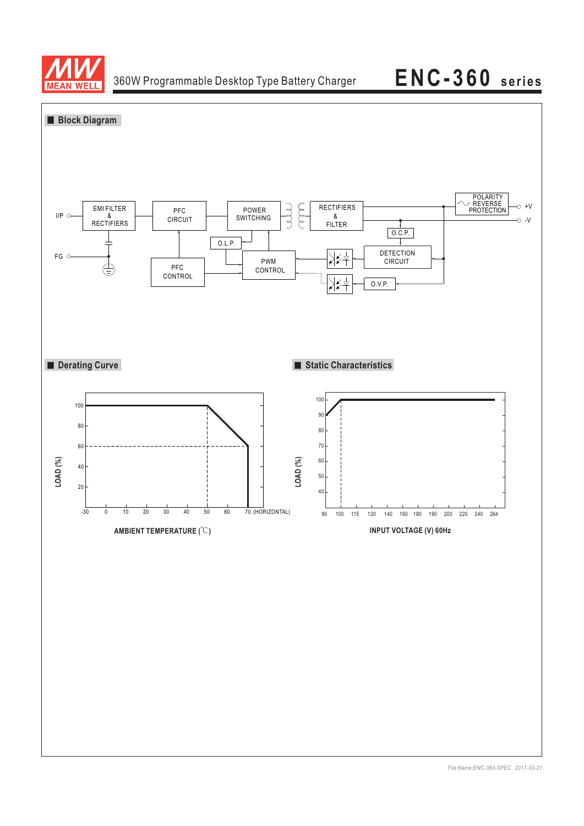

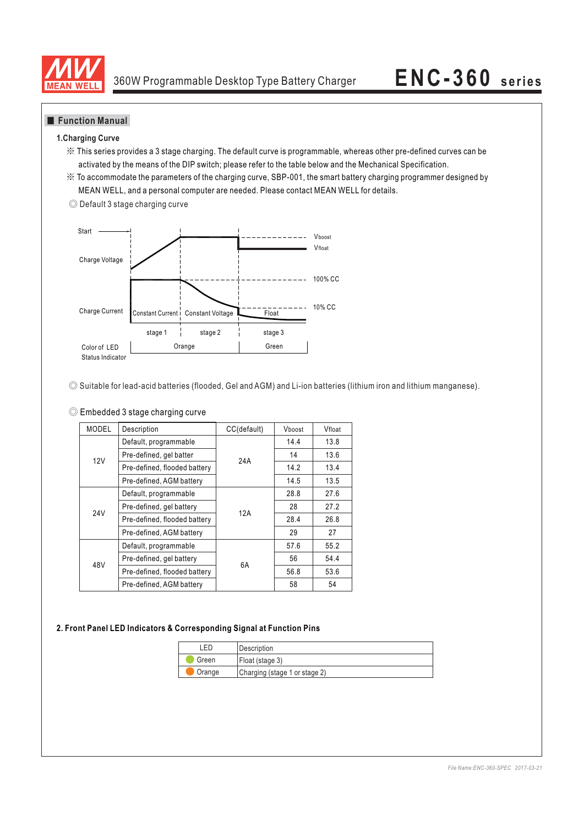

### **Function Manual**

### **1.Charging Curve**

- ※ This series provides a 3 stage charging. The default curve is programmable, whereas other pre-defined curves can be activated by the means of the DIP switch; please refer to the table below and the Mechanical Specification.
- ※ To accommodate the parameters of the charging curve, SBP-001, the smart battery charging programmer designed by MEAN WELL, and a personal computer are needed. Please contact MEAN WELL for details.





◎ Suitable for lead-acid batteries (flooded, Gel and AGM) and Li-ion batteries (lithium iron and lithium manganese).

| C Embedded 3 stage charging curve |
|-----------------------------------|
|-----------------------------------|

| <b>MODEL</b>    | Description                  | CC(default) | Vboost | Vfloat |
|-----------------|------------------------------|-------------|--------|--------|
|                 | Default, programmable        | 24A         | 14.4   | 13.8   |
| 12V             | Pre-defined, gel batter      |             | 14     | 13.6   |
|                 | Pre-defined, flooded battery |             | 14.2   | 13.4   |
|                 | Pre-defined, AGM battery     |             | 14.5   | 13.5   |
|                 | Default, programmable        |             | 28.8   | 27.6   |
| 24 <sub>V</sub> | Pre-defined, gel battery     | 12A         | 28     | 27.2   |
|                 | Pre-defined, flooded battery |             | 28.4   | 26.8   |
|                 | Pre-defined, AGM battery     |             | 29     | 27     |
|                 | Default, programmable        | 6A          | 57.6   | 55.2   |
| 48V             | Pre-defined, gel battery     |             | 56     | 54.4   |
|                 | Pre-defined, flooded battery |             | 56.8   | 53.6   |
|                 | Pre-defined, AGM battery     |             | 58     | 54     |

### **2. Front Panel LED Indicators & Corresponding Signal at Function Pins**

| FD.                                     | l Description   |  |
|-----------------------------------------|-----------------|--|
| Green                                   | Float (stage 3) |  |
| Charging (stage 1 or stage 2)<br>Orange |                 |  |